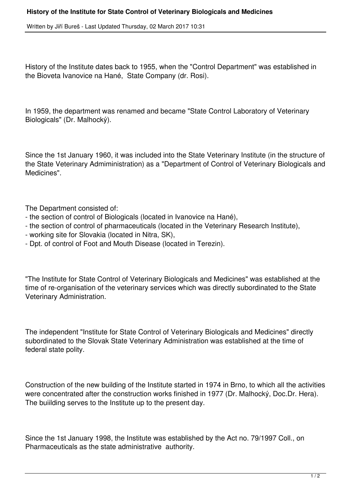Written by Jiří Bureš - Last Updated Thursday, 02 March 2017 10:31

History of the Institute dates back to 1955, when the "Control Department" was established in the Bioveta Ivanovice na Hané, State Company (dr. Rosi).

In 1959, the department was renamed and became "State Control Laboratory of Veterinary Biologicals" (Dr. Malhocký).

Since the 1st January 1960, it was included into the State Veterinary Institute (in the structure of the State Veterinary Admiministration) as a "Department of Control of Veterinary Biologicals and Medicines".

The Department consisted of:

- the section of control of Biologicals (located in Ivanovice na Hané),
- the section of control of pharmaceuticals (located in the Veterinary Research Institute),
- working site for Slovakia (located in Nitra, SK),
- Dpt. of control of Foot and Mouth Disease (located in Terezin).

"The Institute for State Control of Veterinary Biologicals and Medicines" was established at the time of re-organisation of the veterinary services which was directly subordinated to the State Veterinary Administration.

The independent "Institute for State Control of Veterinary Biologicals and Medicines" directly subordinated to the Slovak State Veterinary Administration was established at the time of federal state polity.

Construction of the new building of the Institute started in 1974 in Brno, to which all the activities were concentrated after the construction works finished in 1977 (Dr. Malhocký, Doc.Dr. Hera). The buiilding serves to the Institute up to the present day.

Since the 1st January 1998, the Institute was established by the Act no. 79/1997 Coll., on Pharmaceuticals as the state administrative authority.